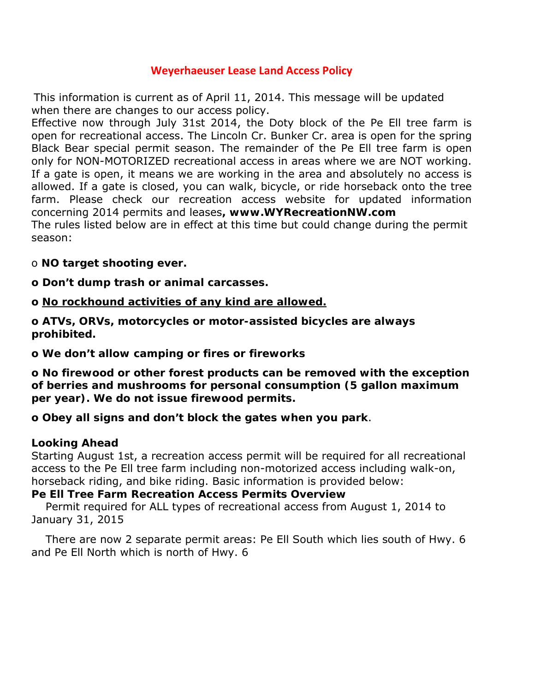## **Weyerhaeuser Lease Land Access Policy**

This information is current as of April 11, 2014. This message will be updated when there are changes to our access policy.

Effective now through July 31st 2014, the Doty block of the Pe Ell tree farm is open for recreational access. The Lincoln Cr. Bunker Cr. area is open for the spring Black Bear special permit season. The remainder of the Pe Ell tree farm is open only for NON-MOTORIZED recreational access in areas where we are NOT working. If a gate is open, it means we are working in the area and absolutely no access is allowed. If a gate is closed, you can walk, bicycle, or ride horseback onto the tree farm. Please check our recreation access website for updated information concerning 2014 permits and leases**, www.WYRecreationNW.com** The rules listed below are in effect at this time but could change during the permit

o **NO target shooting ever.** 

season:

**o Don't dump trash or animal carcasses.** 

### **o** *No rockhound activities of any kind are allowed.*

**o ATVs, ORVs, motorcycles or motor-assisted bicycles are always prohibited.** 

**o We don't allow camping or fires or fireworks** 

**o No firewood or other forest products can be removed with the exception of berries and mushrooms for personal consumption (5 gallon maximum per year). We do not issue firewood permits.** 

**o Obey all signs and don't block the gates when you park**.

## **Looking Ahead**

Starting August 1st, a recreation access permit will be required for all recreational access to the Pe Ell tree farm including non-motorized access including walk-on, horseback riding, and bike riding. Basic information is provided below:

#### **Pe Ell Tree Farm Recreation Access Permits Overview**

 Permit required for ALL types of recreational access from August 1, 2014 to January 31, 2015

 There are now 2 separate permit areas: Pe Ell South which lies south of Hwy. 6 and Pe Ell North which is north of Hwy. 6